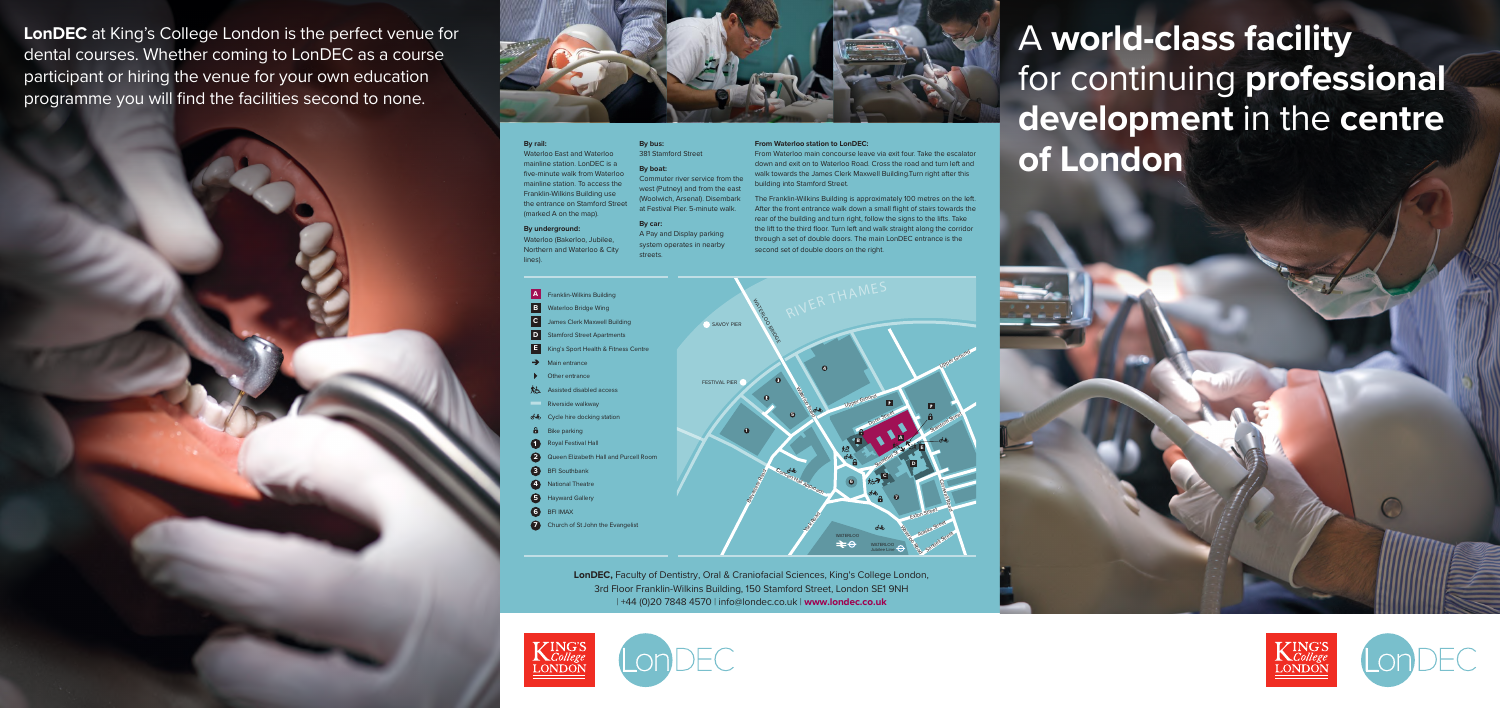# A **world-class facility**  for continuing **professional development** in the **centre of London**



**LonDEC** at King's College London is the perfect venue for dental courses. Whether coming to LonDEC as a course participant or hiring the venue for your own education programme you will find the facilities second to none.







(Woolwich, Arsenal). Disembark The Franklin-Wilkins Building is approximately 100 metres on the left. After the front entrance walk down a small flight of stairs towards the rear of the building and turn right, follow the signs to the lifts. Take the lift to the third floor. Turn left and walk straight along the corridor through a set of double doors. The main LonDEC entrance is the second set of double doors on the right.

**LonDEC,** Faculty of Dentistry, Oral & Craniofacial Sciences, King's College London, 3rd Floor Franklin-Wilkins Building, 150 Stamford Street, London SE1 9NH | +44 (0)20 7848 4570 | info@londec.co.uk | **www.londec.co.uk**





### **By rail:**

Waterloo East and Waterloo mainline station. LonDEC is a five-minute walk from Waterloo mainline station. To access the Franklin-Wilkins Building use the entrance on Stamford Street (marked A on the map).

### **By underground:**

Waterloo (Bakerloo, Jubilee, Northern and Waterloo & City lines).

### **By bus:** 381 Stamford Street

**By boat:**

Commuter river service from the west (Putney) and from the east at Festival Pier. 5-minute walk.

## **By car:**

A Pay and Display parking system operates in nearby streets.

## **From Waterloo station to LonDEC:**

From Waterloo main concourse leave via exit four. Take the escalator down and exit on to Waterloo Road. Cross the road and turn left and walk towards the James Clerk Maxwell Building.Turn right after this building into Stamford Street.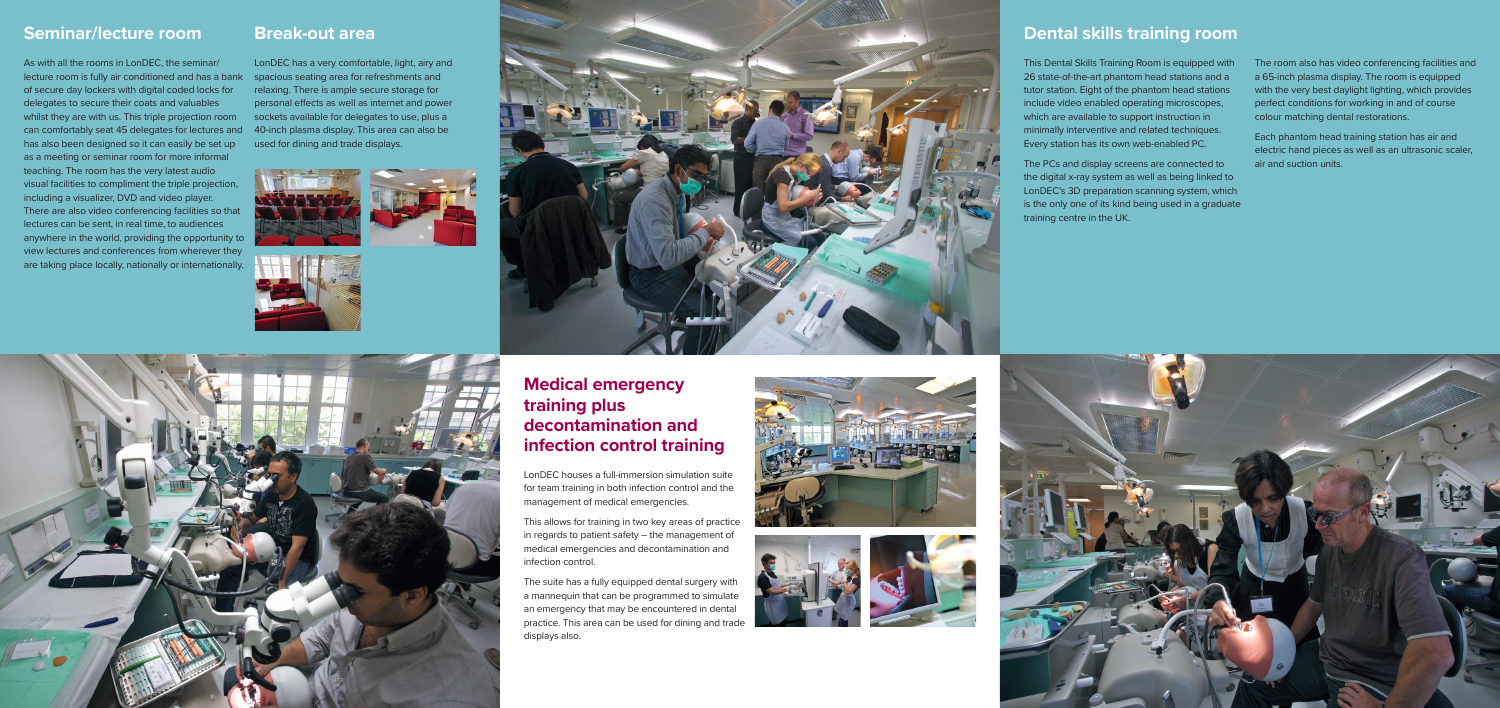# **Seminar/lecture room**

As with all the rooms in LonDEC, the seminar/ lecture room is fully air conditioned and has a bank of secure day lockers with digital coded locks for delegates to secure their coats and valuables whilst they are with us. This triple projection room can comfortably seat 45 delegates for lectures and has also been designed so it can easily be set up as a meeting or seminar room for more informal teaching. The room has the very latest audio visual facilities to compliment the triple projection, including a visualizer, DVD and video player. There are also video conferencing facilities so that lectures can be sent, in real time, to audiences anywhere in the world, providing the opportunity to view lectures and conferences from wherever they are taking place locally, nationally or internationally.

# **Medical emergency training plus decontamination and infection control training**

LonDEC houses a full-immersion simulation suite for team training in both infection control and the management of medical emergencies.

This allows for training in two key areas of practice in regards to patient safety – the management of medical emergencies and decontamination and infection control.

The suite has a fully equipped dental surgery with a mannequin that can be programmed to simulate an emergency that may be encountered in dental practice. This area can be used for dining and trade displays also.

# **Dental skills training room**

This Dental Skills Training Room is equipped with 26 state-of-the-art phantom head stations and a tutor station. Eight of the phantom head stations include video enabled operating microscopes, which are available to support instruction in minimally interventive and related techniques. Every station has its own web-enabled PC.

The PCs and display screens are connected to the digital x-ray system as well as being linked to LonDEC's 3D preparation scanning system, which is the only one of its kind being used in a graduate training centre in the UK.

The room also has video conferencing facilities and a 65-inch plasma display. The room is equipped with the very best daylight lighting, which provides perfect conditions for working in and of course colour matching dental restorations.

Each phantom head training station has air and electric hand pieces as well as an ultrasonic scaler, air and suction units.









# **Break-out area**

LonDEC has a very comfortable, light, airy and spacious seating area for refreshments and relaxing. There is ample secure storage for personal effects as well as internet and power sockets available for delegates to use, plus a 40-inch plasma display. This area can also be used for dining and trade displays.





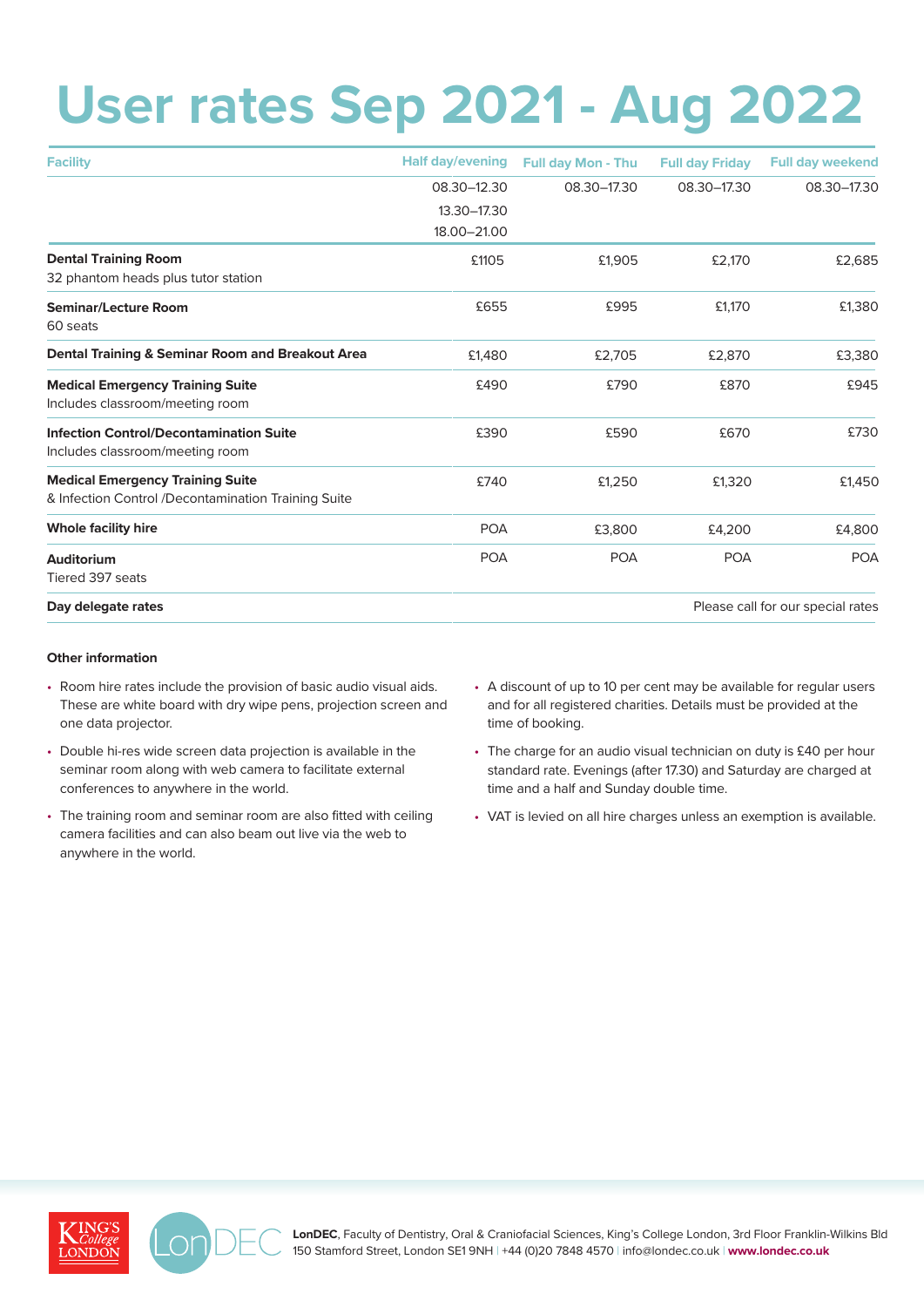# **User rates Sep 2021 - Aug 2022**

| <b>Facility</b>                                     | <b>Half day/evening</b> | <b>Full day Mon - Thu</b>         | <b>Full day Friday</b> | <b>Full day weekend</b> |  |
|-----------------------------------------------------|-------------------------|-----------------------------------|------------------------|-------------------------|--|
|                                                     | 08.30-12.30             | 08.30-17.30                       | 08.30-17.30            | 08.30-17.30             |  |
|                                                     | 13.30-17.30             |                                   |                        |                         |  |
|                                                     | 18.00-21.00             |                                   |                        |                         |  |
| <b>Dental Training Room</b>                         | £1105                   | £1,905                            | £2,170                 | £2,685                  |  |
| 32 phantom heads plus tutor station                 |                         |                                   |                        |                         |  |
| <b>Seminar/Lecture Room</b>                         | £655                    | £995                              | £1,170                 | £1,380                  |  |
| 60 seats                                            |                         |                                   |                        |                         |  |
| Dental Training & Seminar Room and Breakout Area    | £1,480                  | £2,705                            | £2,870                 | £3,380                  |  |
| <b>Medical Emergency Training Suite</b>             | £490                    | £790                              | £870                   | £945                    |  |
| Includes classroom/meeting room                     |                         |                                   |                        |                         |  |
| <b>Infection Control/Decontamination Suite</b>      | £390                    | £590                              | £670                   | £730                    |  |
| Includes classroom/meeting room                     |                         |                                   |                        |                         |  |
| <b>Medical Emergency Training Suite</b>             | £740                    | £1,250                            | £1,320                 | £1,450                  |  |
| & Infection Control /Decontamination Training Suite |                         |                                   |                        |                         |  |
| <b>Whole facility hire</b>                          | <b>POA</b>              | £3,800                            | £4,200                 | £4,800                  |  |
| Auditorium                                          | <b>POA</b>              | <b>POA</b>                        | <b>POA</b>             | <b>POA</b>              |  |
| Tiered 397 seats                                    |                         |                                   |                        |                         |  |
| Day delegate rates                                  |                         | Please call for our special rates |                        |                         |  |

## **Other information**

- Room hire rates include the provision of basic audio visual aids. These are white board with dry wipe pens, projection screen and one data projector.
- Double hi-res wide screen data projection is available in the seminar room along with web camera to facilitate external conferences to anywhere in the world.
- The training room and seminar room are also fitted with ceiling camera facilities and can also beam out live via the web to anywhere in the world.
- A discount of up to 10 per cent may be available for regular users and for all registered charities. Details must be provided at the time of booking.
- The charge for an audio visual technician on duty is £40 per hour standard rate. Evenings (after 17.30) and Saturday are charged at time and a half and Sunday double time.
- VAT is levied on all hire charges unless an exemption is available.





**LonDEC**, Faculty of Dentistry, Oral & Craniofacial Sciences, King's College London, 3rd Floor Franklin-Wilkins Bld 150 Stamford Street, London SE1 9NH | +44 (0)20 7848 4570 | info@londec.co.uk | **www.londec.co.uk**